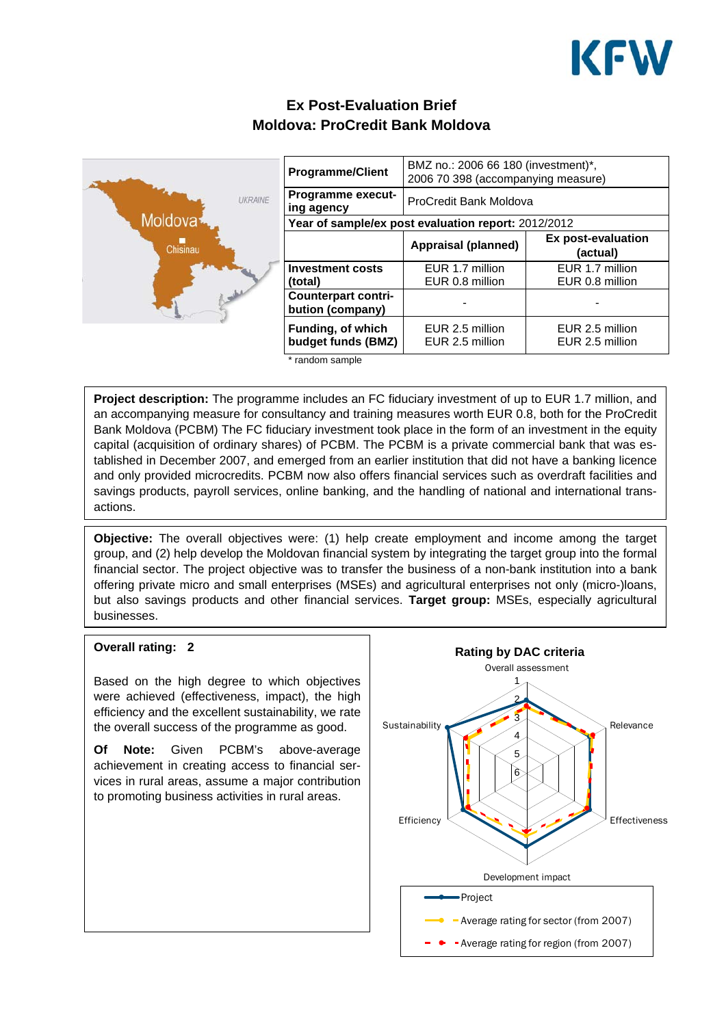

# **Ex Post-Evaluation Brief Moldova: ProCredit Bank Moldova**



| <b>Programme/Client</b>                             | BMZ no.: 2006 66 180 (investment)*,<br>2006 70 398 (accompanying measure) |                                       |
|-----------------------------------------------------|---------------------------------------------------------------------------|---------------------------------------|
| <b>Programme execut-</b><br>ing agency              | ProCredit Bank Moldova                                                    |                                       |
| Year of sample/ex post evaluation report: 2012/2012 |                                                                           |                                       |
|                                                     | Appraisal (planned)                                                       | <b>Ex post-evaluation</b><br>(actual) |
| <b>Investment costs</b><br>(total)                  | EUR 1.7 million<br>EUR 0.8 million                                        | EUR 1.7 million<br>EUR 0.8 million    |
| <b>Counterpart contri-</b><br>bution (company)      |                                                                           |                                       |
| <b>Funding, of which</b><br>budget funds (BMZ)      | EUR 2.5 million<br>EUR 2.5 million                                        | EUR 2.5 million<br>EUR 2.5 million    |

\* random sample

**Project description:** The programme includes an FC fiduciary investment of up to EUR 1.7 million, and an accompanying measure for consultancy and training measures worth EUR 0.8, both for the ProCredit Bank Moldova (PCBM) The FC fiduciary investment took place in the form of an investment in the equity capital (acquisition of ordinary shares) of PCBM. The PCBM is a private commercial bank that was established in December 2007, and emerged from an earlier institution that did not have a banking licence and only provided microcredits. PCBM now also offers financial services such as overdraft facilities and savings products, payroll services, online banking, and the handling of national and international transactions.

**Objective:** The overall objectives were: (1) help create employment and income among the target group, and (2) help develop the Moldovan financial system by integrating the target group into the formal financial sector. The project objective was to transfer the business of a non-bank institution into a bank offering private micro and small enterprises (MSEs) and agricultural enterprises not only (micro-)loans, but also savings products and other financial services. **Target group:** MSEs, especially agricultural businesses.

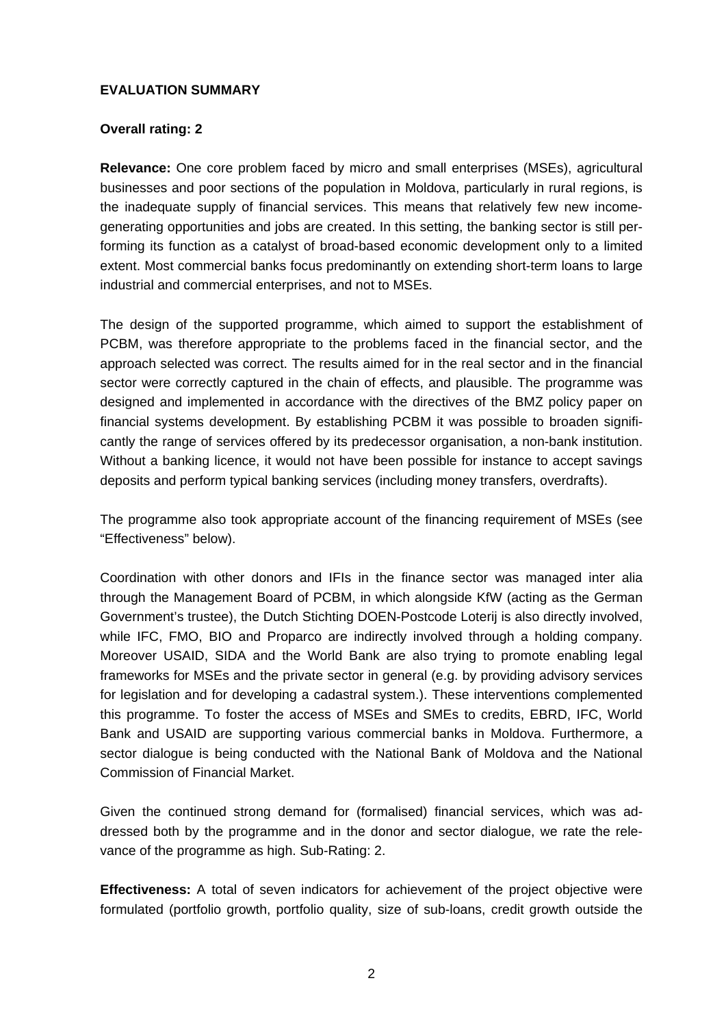## **EVALUATION SUMMARY**

# **Overall rating: 2**

**Relevance:** One core problem faced by micro and small enterprises (MSEs), agricultural businesses and poor sections of the population in Moldova, particularly in rural regions, is the inadequate supply of financial services. This means that relatively few new incomegenerating opportunities and jobs are created. In this setting, the banking sector is still performing its function as a catalyst of broad-based economic development only to a limited extent. Most commercial banks focus predominantly on extending short-term loans to large industrial and commercial enterprises, and not to MSEs.

The design of the supported programme, which aimed to support the establishment of PCBM, was therefore appropriate to the problems faced in the financial sector, and the approach selected was correct. The results aimed for in the real sector and in the financial sector were correctly captured in the chain of effects, and plausible. The programme was designed and implemented in accordance with the directives of the BMZ policy paper on financial systems development. By establishing PCBM it was possible to broaden significantly the range of services offered by its predecessor organisation, a non-bank institution. Without a banking licence, it would not have been possible for instance to accept savings deposits and perform typical banking services (including money transfers, overdrafts).

The programme also took appropriate account of the financing requirement of MSEs (see "Effectiveness" below).

Coordination with other donors and IFIs in the finance sector was managed inter alia through the Management Board of PCBM, in which alongside KfW (acting as the German Government's trustee), the Dutch Stichting DOEN-Postcode Loterij is also directly involved, while IFC, FMO, BIO and Proparco are indirectly involved through a holding company. Moreover USAID, SIDA and the World Bank are also trying to promote enabling legal frameworks for MSEs and the private sector in general (e.g. by providing advisory services for legislation and for developing a cadastral system.). These interventions complemented this programme. To foster the access of MSEs and SMEs to credits, EBRD, IFC, World Bank and USAID are supporting various commercial banks in Moldova. Furthermore, a sector dialogue is being conducted with the National Bank of Moldova and the National Commission of Financial Market.

Given the continued strong demand for (formalised) financial services, which was addressed both by the programme and in the donor and sector dialogue, we rate the relevance of the programme as high. Sub-Rating: 2.

**Effectiveness:** A total of seven indicators for achievement of the project objective were formulated (portfolio growth, portfolio quality, size of sub-loans, credit growth outside the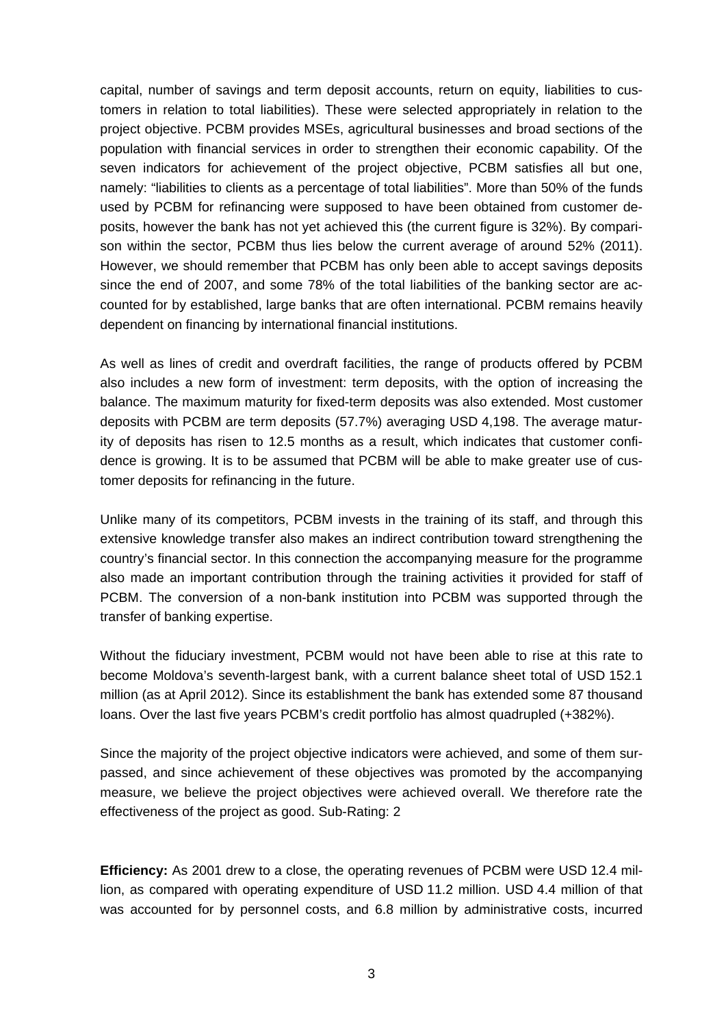capital, number of savings and term deposit accounts, return on equity, liabilities to customers in relation to total liabilities). These were selected appropriately in relation to the project objective. PCBM provides MSEs, agricultural businesses and broad sections of the population with financial services in order to strengthen their economic capability. Of the seven indicators for achievement of the project objective, PCBM satisfies all but one, namely: "liabilities to clients as a percentage of total liabilities". More than 50% of the funds used by PCBM for refinancing were supposed to have been obtained from customer deposits, however the bank has not yet achieved this (the current figure is 32%). By comparison within the sector, PCBM thus lies below the current average of around 52% (2011). However, we should remember that PCBM has only been able to accept savings deposits since the end of 2007, and some 78% of the total liabilities of the banking sector are accounted for by established, large banks that are often international. PCBM remains heavily dependent on financing by international financial institutions.

As well as lines of credit and overdraft facilities, the range of products offered by PCBM also includes a new form of investment: term deposits, with the option of increasing the balance. The maximum maturity for fixed-term deposits was also extended. Most customer deposits with PCBM are term deposits (57.7%) averaging USD 4,198. The average maturity of deposits has risen to 12.5 months as a result, which indicates that customer confidence is growing. It is to be assumed that PCBM will be able to make greater use of customer deposits for refinancing in the future.

Unlike many of its competitors, PCBM invests in the training of its staff, and through this extensive knowledge transfer also makes an indirect contribution toward strengthening the country's financial sector. In this connection the accompanying measure for the programme also made an important contribution through the training activities it provided for staff of PCBM. The conversion of a non-bank institution into PCBM was supported through the transfer of banking expertise.

Without the fiduciary investment, PCBM would not have been able to rise at this rate to become Moldova's seventh-largest bank, with a current balance sheet total of USD 152.1 million (as at April 2012). Since its establishment the bank has extended some 87 thousand loans. Over the last five years PCBM's credit portfolio has almost quadrupled (+382%).

Since the majority of the project objective indicators were achieved, and some of them surpassed, and since achievement of these objectives was promoted by the accompanying measure, we believe the project objectives were achieved overall. We therefore rate the effectiveness of the project as good. Sub-Rating: 2

**Efficiency:** As 2001 drew to a close, the operating revenues of PCBM were USD 12.4 million, as compared with operating expenditure of USD 11.2 million. USD 4.4 million of that was accounted for by personnel costs, and 6.8 million by administrative costs, incurred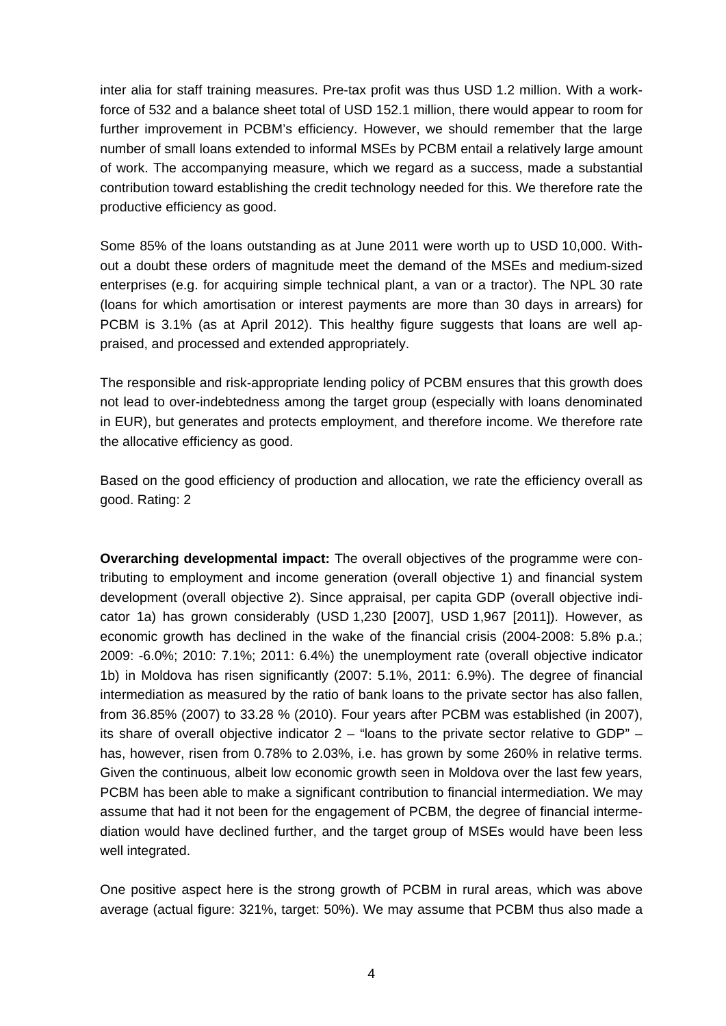inter alia for staff training measures. Pre-tax profit was thus USD 1.2 million. With a workforce of 532 and a balance sheet total of USD 152.1 million, there would appear to room for further improvement in PCBM's efficiency. However, we should remember that the large number of small loans extended to informal MSEs by PCBM entail a relatively large amount of work. The accompanying measure, which we regard as a success, made a substantial contribution toward establishing the credit technology needed for this. We therefore rate the productive efficiency as good.

Some 85% of the loans outstanding as at June 2011 were worth up to USD 10,000. Without a doubt these orders of magnitude meet the demand of the MSEs and medium-sized enterprises (e.g. for acquiring simple technical plant, a van or a tractor). The NPL 30 rate (loans for which amortisation or interest payments are more than 30 days in arrears) for PCBM is 3.1% (as at April 2012). This healthy figure suggests that loans are well appraised, and processed and extended appropriately.

The responsible and risk-appropriate lending policy of PCBM ensures that this growth does not lead to over-indebtedness among the target group (especially with loans denominated in EUR), but generates and protects employment, and therefore income. We therefore rate the allocative efficiency as good.

Based on the good efficiency of production and allocation, we rate the efficiency overall as good. Rating: 2

**Overarching developmental impact:** The overall objectives of the programme were contributing to employment and income generation (overall objective 1) and financial system development (overall objective 2). Since appraisal, per capita GDP (overall objective indicator 1a) has grown considerably (USD 1,230 [2007], USD 1,967 [2011]). However, as economic growth has declined in the wake of the financial crisis (2004-2008: 5.8% p.a.; 2009: -6.0%; 2010: 7.1%; 2011: 6.4%) the unemployment rate (overall objective indicator 1b) in Moldova has risen significantly (2007: 5.1%, 2011: 6.9%). The degree of financial intermediation as measured by the ratio of bank loans to the private sector has also fallen, from 36.85% (2007) to 33.28 % (2010). Four years after PCBM was established (in 2007), its share of overall objective indicator 2 – "loans to the private sector relative to GDP" – has, however, risen from 0.78% to 2.03%, i.e. has grown by some 260% in relative terms. Given the continuous, albeit low economic growth seen in Moldova over the last few years, PCBM has been able to make a significant contribution to financial intermediation. We may assume that had it not been for the engagement of PCBM, the degree of financial intermediation would have declined further, and the target group of MSEs would have been less well integrated.

One positive aspect here is the strong growth of PCBM in rural areas, which was above average (actual figure: 321%, target: 50%). We may assume that PCBM thus also made a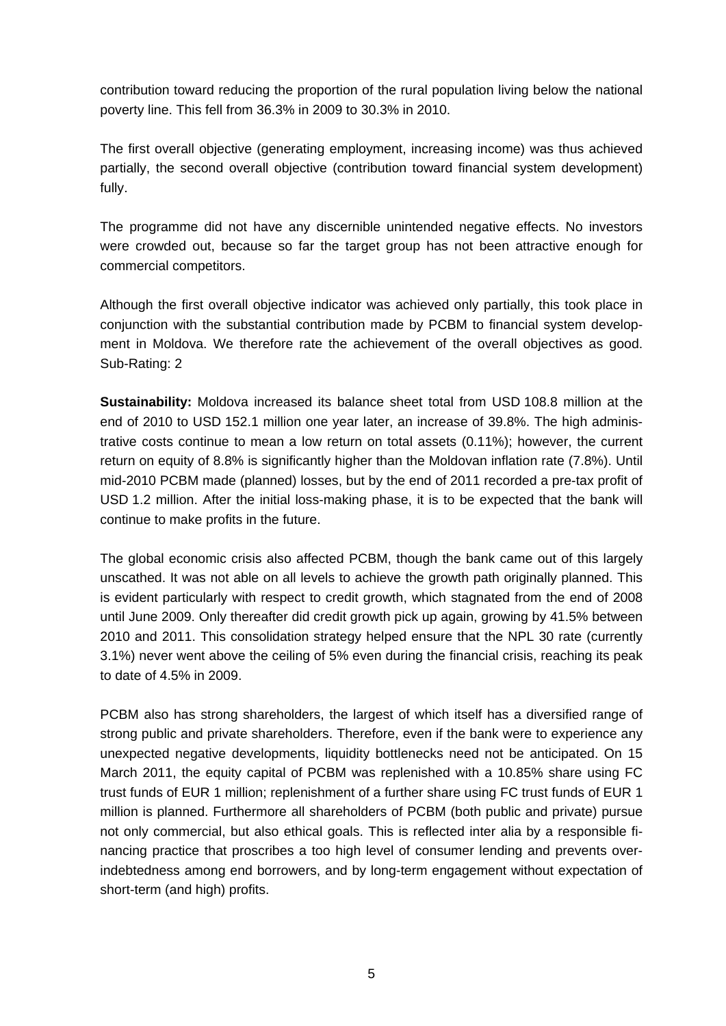contribution toward reducing the proportion of the rural population living below the national poverty line. This fell from 36.3% in 2009 to 30.3% in 2010.

The first overall objective (generating employment, increasing income) was thus achieved partially, the second overall objective (contribution toward financial system development) fully.

The programme did not have any discernible unintended negative effects. No investors were crowded out, because so far the target group has not been attractive enough for commercial competitors.

Although the first overall objective indicator was achieved only partially, this took place in conjunction with the substantial contribution made by PCBM to financial system development in Moldova. We therefore rate the achievement of the overall objectives as good. Sub-Rating: 2

**Sustainability:** Moldova increased its balance sheet total from USD 108.8 million at the end of 2010 to USD 152.1 million one year later, an increase of 39.8%. The high administrative costs continue to mean a low return on total assets (0.11%); however, the current return on equity of 8.8% is significantly higher than the Moldovan inflation rate (7.8%). Until mid-2010 PCBM made (planned) losses, but by the end of 2011 recorded a pre-tax profit of USD 1.2 million. After the initial loss-making phase, it is to be expected that the bank will continue to make profits in the future.

The global economic crisis also affected PCBM, though the bank came out of this largely unscathed. It was not able on all levels to achieve the growth path originally planned. This is evident particularly with respect to credit growth, which stagnated from the end of 2008 until June 2009. Only thereafter did credit growth pick up again, growing by 41.5% between 2010 and 2011. This consolidation strategy helped ensure that the NPL 30 rate (currently 3.1%) never went above the ceiling of 5% even during the financial crisis, reaching its peak to date of 4.5% in 2009.

PCBM also has strong shareholders, the largest of which itself has a diversified range of strong public and private shareholders. Therefore, even if the bank were to experience any unexpected negative developments, liquidity bottlenecks need not be anticipated. On 15 March 2011, the equity capital of PCBM was replenished with a 10.85% share using FC trust funds of EUR 1 million; replenishment of a further share using FC trust funds of EUR 1 million is planned. Furthermore all shareholders of PCBM (both public and private) pursue not only commercial, but also ethical goals. This is reflected inter alia by a responsible financing practice that proscribes a too high level of consumer lending and prevents overindebtedness among end borrowers, and by long-term engagement without expectation of short-term (and high) profits.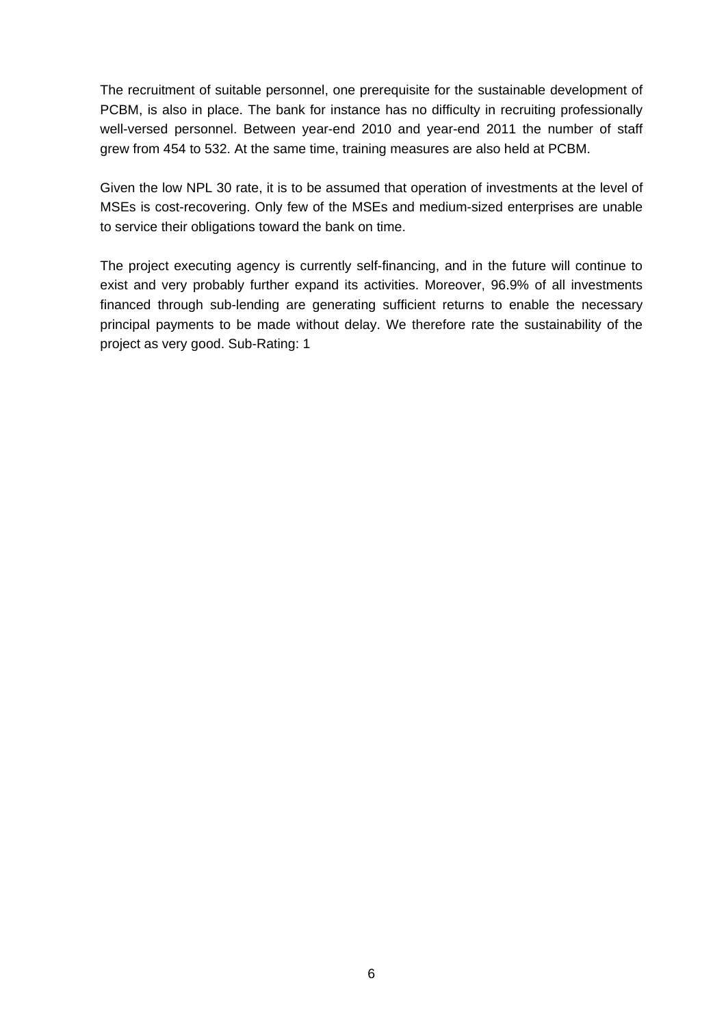The recruitment of suitable personnel, one prerequisite for the sustainable development of PCBM, is also in place. The bank for instance has no difficulty in recruiting professionally well-versed personnel. Between year-end 2010 and year-end 2011 the number of staff grew from 454 to 532. At the same time, training measures are also held at PCBM.

Given the low NPL 30 rate, it is to be assumed that operation of investments at the level of MSEs is cost-recovering. Only few of the MSEs and medium-sized enterprises are unable to service their obligations toward the bank on time.

The project executing agency is currently self-financing, and in the future will continue to exist and very probably further expand its activities. Moreover, 96.9% of all investments financed through sub-lending are generating sufficient returns to enable the necessary principal payments to be made without delay. We therefore rate the sustainability of the project as very good. Sub-Rating: 1